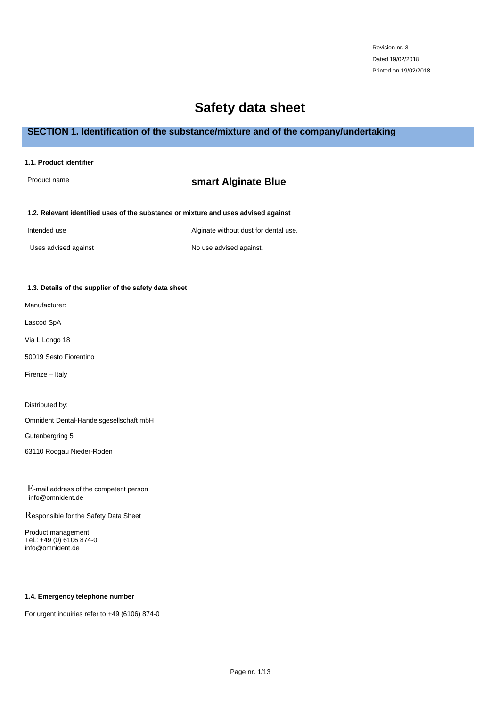# **Safety data sheet**

# **SECTION 1. Identification of the substance/mixture and of the company/undertaking**

**1.1. Product identifier**

# Product name **smart Alginate Blue**

# **1.2. Relevant identified uses of the substance or mixture and uses advised against**

Intended use Alginate without dust for dental use.

Uses advised against **No use advised against.** 

# **1.3. Details of the supplier of the safety data sheet**

Manufacturer:

Lascod SpA

Via L.Longo 18

50019 Sesto Fiorentino

Firenze – Italy

Distributed by:

Omnident Dental-Handelsgesellschaft mbH

Gutenbergring 5

63110 Rodgau Nieder-Roden

E-mail address of the competent person [info@omnident.de](mailto:info@omnident.de)

Responsible for the Safety Data Sheet

Product management Tel.: +49 (0) 6106 874-0 info@omnident.de

## **1.4. Emergency telephone number**

For urgent inquiries refer to +49 (6106) 874-0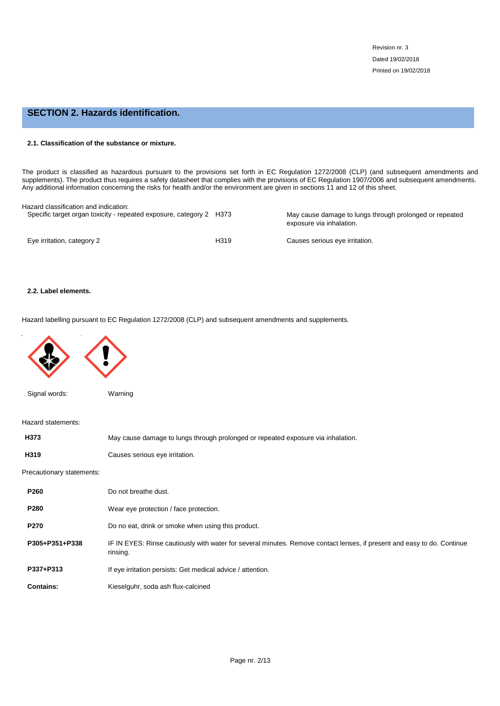# **SECTION 2. Hazards identification.**

## **2.1. Classification of the substance or mixture.**

The product is classified as hazardous pursuant to the provisions set forth in EC Regulation 1272/2008 (CLP) (and subsequent amendments and supplements). The product thus requires a safety datasheet that complies with the provisions of EC Regulation 1907/2006 and subsequent amendments. Any additional information concerning the risks for health and/or the environment are given in sections 11 and 12 of this sheet.

| Hazard classification and indication:<br>Specific target organ toxicity - repeated exposure, category 2 H373 |      | May cause damage to lungs through prolonged or repeated<br>exposure via inhalation. |
|--------------------------------------------------------------------------------------------------------------|------|-------------------------------------------------------------------------------------|
| Eye irritation, category 2                                                                                   | H319 | Causes serious eye irritation.                                                      |

## **2.2. Label elements.**

Hazard labelling pursuant to EC Regulation 1272/2008 (CLP) and subsequent amendments and supplements.



Signal words: Warning

Hazard statements:

| H373                      | May cause damage to lungs through prolonged or repeated exposure via inhalation. |
|---------------------------|----------------------------------------------------------------------------------|
| H319                      | Causes serious eye irritation.                                                   |
| Precautionary statements: |                                                                                  |

| <b>P260</b>      | Do not breathe dust.                                                                                                                |
|------------------|-------------------------------------------------------------------------------------------------------------------------------------|
| <b>P280</b>      | Wear eye protection / face protection.                                                                                              |
| <b>P270</b>      | Do no eat, drink or smoke when using this product.                                                                                  |
| P305+P351+P338   | IF IN EYES: Rinse cautiously with water for several minutes. Remove contact lenses, if present and easy to do. Continue<br>rinsing. |
| P337+P313        | If eye irritation persists: Get medical advice / attention.                                                                         |
| <b>Contains:</b> | Kieselguhr, soda ash flux-calcined                                                                                                  |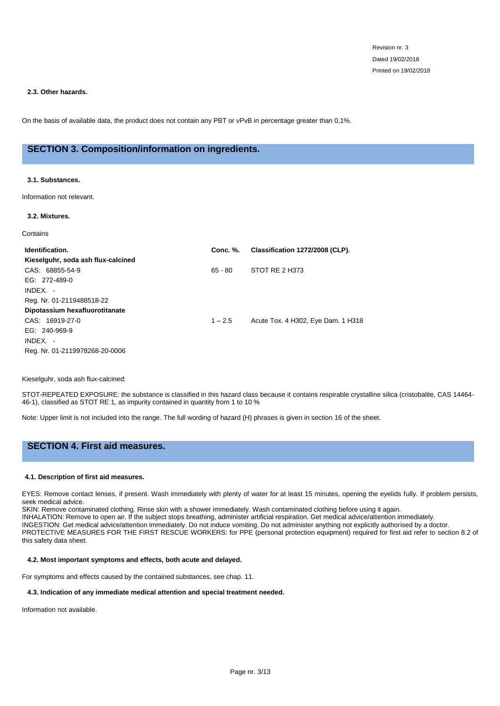## **2.3. Other hazards.**

On the basis of available data, the product does not contain any PBT or vPvB in percentage greater than 0,1%.

# **SECTION 3. Composition/information on ingredients.**

## **3.1. Substances.**

Information not relevant.

## **3.2. Mixtures.**

**Contains** 

| Identification.                    | <b>Conc. %.</b> | Classification 1272/2008 (CLP).    |
|------------------------------------|-----------------|------------------------------------|
| Kieselguhr, soda ash flux-calcined |                 |                                    |
| CAS: 68855-54-9                    | $65 - 80$       | STOT RE 2 H373                     |
| EG: 272-489-0                      |                 |                                    |
| $INDEX. -$                         |                 |                                    |
| Reg. Nr. 01-2119488518-22          |                 |                                    |
| Dipotassium hexafluorotitanate     |                 |                                    |
| CAS: 16919-27-0                    | $1 - 2.5$       | Acute Tox. 4 H302, Eye Dam. 1 H318 |
| EG: 240-969-9                      |                 |                                    |
| $INDEX. -$                         |                 |                                    |
| Reg. Nr. 01-2119978268-20-0006     |                 |                                    |
|                                    |                 |                                    |

## Kieselguhr, soda ash flux-calcined:

STOT-REPEATED EXPOSURE: the substance is classified in this hazard class because it contains respirable crystalline silica (cristobalite, CAS 14464- 46-1), classified as STOT RE 1, as impurity contained in quantity from 1 to 10 %

Note: Upper limit is not included into the range. The full wording of hazard (H) phrases is given in section 16 of the sheet.

# **SECTION 4. First aid measures.**

### **4.1. Description of first aid measures.**

EYES: Remove contact lenses, if present. Wash immediately with plenty of water for at least 15 minutes, opening the eyelids fully. If problem persists, seek medical advice.

SKIN: Remove contaminated clothing. Rinse skin with a shower immediately. Wash contaminated clothing before using it again.

INHALATION: Remove to open air. If the subject stops breathing, administer artificial respiration. Get medical advice/attention immediately.

INGESTION: Get medical advice/attention immediately. Do not induce vomiting. Do not administer anything not explicitly authorised by a doctor. PROTECTIVE MEASURES FOR THE FIRST RESCUE WORKERS: for PPE (personal protection equipment) required for first aid refer to section 8.2 of this safety data sheet.

### **4.2. Most important symptoms and effects, both acute and delayed.**

For symptoms and effects caused by the contained substances, see chap. 11.

### **4.3. Indication of any immediate medical attention and special treatment needed.**

Information not available.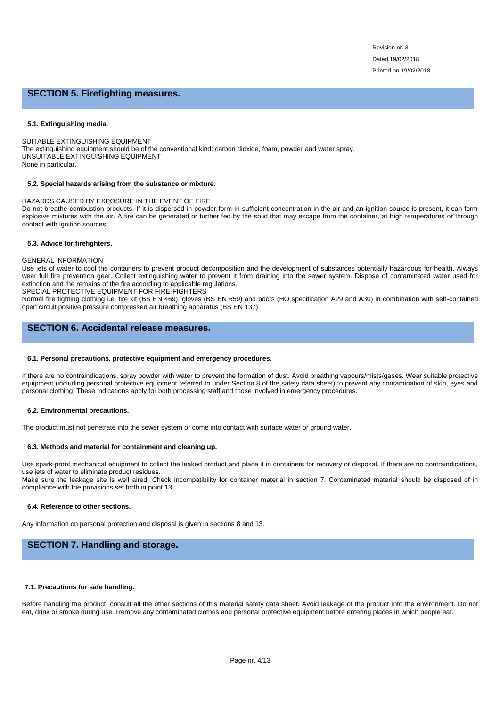# **SECTION 5. Firefighting measures.**

### **5.1. Extinguishing media.**

SUITABLE EXTINGUISHING EQUIPMENT The extinguishing equipment should be of the conventional kind: carbon dioxide, foam, powder and water spray. UNSUITABLE EXTINGUISHING EQUIPMENT None in particular.

### **5.2. Special hazards arising from the substance or mixture.**

### HAZARDS CAUSED BY EXPOSURE IN THE EVENT OF FIRE

Do not breathe combustion products. If it is dispersed in powder form in sufficient concentration in the air and an ignition source is present, it can form explosive mixtures with the air. A fire can be generated or further fed by the solid that may escape from the container, at high temperatures or through contact with ignition sources.

## **5.3. Advice for firefighters.**

### GENERAL INFORMATION

Use jets of water to cool the containers to prevent product decomposition and the development of substances potentially hazardous for health. Always wear full fire prevention gear. Collect extinguishing water to prevent it from draining into the sewer system. Dispose of contaminated water used for extinction and the remains of the fire according to applicable regulations.

SPECIAL PROTECTIVE EQUIPMENT FOR FIRE-FIGHTERS

Normal fire fighting clothing i.e. fire kit (BS EN 469), gloves (BS EN 659) and boots (HO specification A29 and A30) in combination with self-contained open circuit positive pressure compressed air breathing apparatus (BS EN 137).

# **SECTION 6. Accidental release measures.**

### **6.1. Personal precautions, protective equipment and emergency procedures.**

If there are no contraindications, spray powder with water to prevent the formation of dust. Avoid breathing vapours/mists/gases. Wear suitable protective equipment (including personal protective equipment referred to under Section 8 of the safety data sheet) to prevent any contamination of skin, eyes and personal clothing. These indications apply for both processing staff and those involved in emergency procedures.

### **6.2. Environmental precautions.**

The product must not penetrate into the sewer system or come into contact with surface water or ground water.

### **6.3. Methods and material for containment and cleaning up.**

Use spark-proof mechanical equipment to collect the leaked product and place it in containers for recovery or disposal. If there are no contraindications, use jets of water to eliminate product residues.

Make sure the leakage site is well aired. Check incompatibility for container material in section 7. Contaminated material should be disposed of in compliance with the provisions set forth in point 13.

### **6.4. Reference to other sections.**

Any information on personal protection and disposal is given in sections 8 and 13.

# **SECTION 7. Handling and storage.**

### **7.1. Precautions for safe handling.**

Before handling the product, consult all the other sections of this material safety data sheet. Avoid leakage of the product into the environment. Do not eat, drink or smoke during use. Remove any contaminated clothes and personal protective equipment before entering places in which people eat.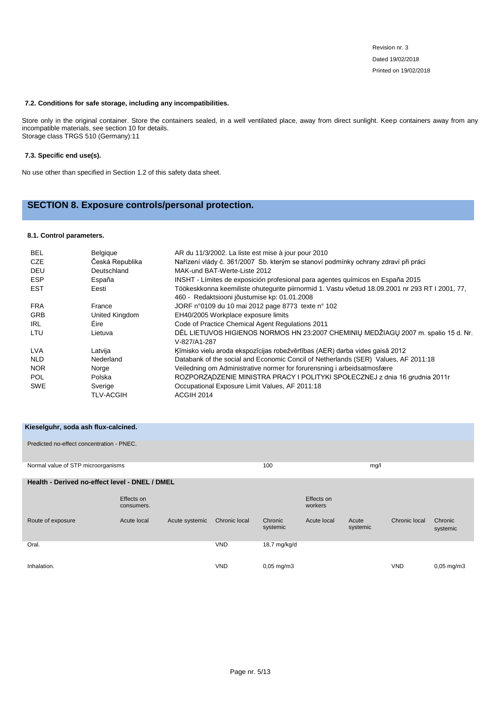## **7.2. Conditions for safe storage, including any incompatibilities.**

Store only in the original container. Store the containers sealed, in a well ventilated place, away from direct sunlight. Keep containers away from any incompatible materials, see section 10 for details. Storage class TRGS 510 (Germany):11

### **7.3. Specific end use(s).**

No use other than specified in Section 1.2 of this safety data sheet.

# **SECTION 8. Exposure controls/personal protection.**

# **8.1. Control parameters.**

| <b>BEL</b> | <b>Belgique</b>  | AR du 11/3/2002. La liste est mise à jour pour 2010                                                |
|------------|------------------|----------------------------------------------------------------------------------------------------|
| CZE        | Česká Republika  | Nařízení vlády č. 361/2007 Sb. kterým se stanoví podmínky ochrany zdraví při práci                 |
| DEU        | Deutschland      | MAK-und BAT-Werte-Liste 2012                                                                       |
| <b>ESP</b> | España           | INSHT - Límites de exposición profesional para agentes guímicos en España 2015                     |
| <b>EST</b> | Eesti            | Töökeskkonna keemiliste ohutegurite piirnormid 1. Vastu võetud 18.09.2001 nr 293 RT I 2001, 77,    |
|            |                  | 460 - Redaktsiooni jõustumise kp: 01.01.2008                                                       |
| <b>FRA</b> | France           | JORF n°0109 du 10 mai 2012 page 8773 texte n° 102                                                  |
| <b>GRB</b> | United Kingdom   | EH40/2005 Workplace exposure limits                                                                |
| IRL        | <b>Éire</b>      | Code of Practice Chemical Agent Regulations 2011                                                   |
| LTU        | Lietuva          | DĖL LIETUVOS HIGIENOS NORMOS HN 23:2007 CHEMINIŲ MEDŽIAGŲ 2007 m. spalio 15 d. Nr.<br>V-827/A1-287 |
| <b>LVA</b> | Latvija          | Kīmisko vielu aroda ekspozīcijas robežvērtības (AER) darba vides gaisā 2012                        |
| <b>NLD</b> | Nederland        | Databank of the social and Economic Concil of Netherlands (SER) Values, AF 2011:18                 |
| <b>NOR</b> | Norge            | Veiledning om Administrative normer for forurensning i arbeidsatmosfære                            |
| <b>POL</b> | Polska           | ROZPORZADZENIE MINISTRA PRACY I POLITYKI SPOŁECZNEJ z dnia 16 grudnia 2011r                        |
| <b>SWE</b> | Sverige          | Occupational Exposure Limit Values, AF 2011:18                                                     |
|            | <b>TLV-ACGIH</b> | ACGIH 2014                                                                                         |

| Kieselguhr, soda ash flux-calcined.            |                          |                |               |                          |                       |                   |               |                          |
|------------------------------------------------|--------------------------|----------------|---------------|--------------------------|-----------------------|-------------------|---------------|--------------------------|
| Predicted no-effect concentration - PNEC.      |                          |                |               |                          |                       |                   |               |                          |
| Normal value of STP microorganisms             |                          |                |               | 100                      |                       | mg/l              |               |                          |
| Health - Derived no-effect level - DNEL / DMEL |                          |                |               |                          |                       |                   |               |                          |
|                                                | Effects on<br>consumers. |                |               |                          | Effects on<br>workers |                   |               |                          |
| Route of exposure                              | Acute local              | Acute systemic | Chronic local | Chronic<br>systemic      | Acute local           | Acute<br>systemic | Chronic local | Chronic<br>systemic      |
| Oral.                                          |                          |                | <b>VND</b>    | 18,7 mg/kg/d             |                       |                   |               |                          |
| Inhalation.                                    |                          |                | <b>VND</b>    | $0,05 \,\mathrm{mg/m}$ 3 |                       |                   | <b>VND</b>    | $0,05 \,\mathrm{mg/m}$ 3 |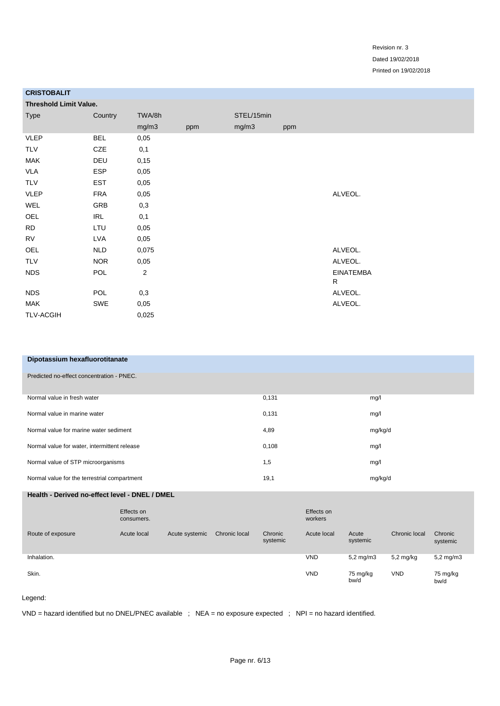| <b>UNIJI UDALI I</b>          |            |                         |     |            |     |                  |
|-------------------------------|------------|-------------------------|-----|------------|-----|------------------|
| <b>Threshold Limit Value.</b> |            |                         |     |            |     |                  |
| <b>Type</b>                   | Country    | TWA/8h                  |     | STEL/15min |     |                  |
|                               |            | mg/m3                   | ppm | mg/m3      | ppm |                  |
| <b>VLEP</b>                   | <b>BEL</b> | 0,05                    |     |            |     |                  |
| TLV                           | CZE        | 0,1                     |     |            |     |                  |
| <b>MAK</b>                    | DEU        | 0,15                    |     |            |     |                  |
| <b>VLA</b>                    | <b>ESP</b> | 0,05                    |     |            |     |                  |
| TLV                           | <b>EST</b> | 0,05                    |     |            |     |                  |
| <b>VLEP</b>                   | <b>FRA</b> | 0,05                    |     |            |     | ALVEOL.          |
| WEL                           | GRB        | 0,3                     |     |            |     |                  |
| OEL                           | IRL        | 0,1                     |     |            |     |                  |
| <b>RD</b>                     | LTU        | 0,05                    |     |            |     |                  |
| <b>RV</b>                     | LVA        | 0,05                    |     |            |     |                  |
| OEL                           | <b>NLD</b> | 0,075                   |     |            |     | ALVEOL.          |
| <b>TLV</b>                    | <b>NOR</b> | 0,05                    |     |            |     | ALVEOL.          |
| <b>NDS</b>                    | POL        | $\overline{\mathbf{c}}$ |     |            |     | <b>EINATEMBA</b> |
|                               |            |                         |     |            |     | R                |
| <b>NDS</b>                    | POL        | 0,3                     |     |            |     | ALVEOL.          |
| <b>MAK</b>                    | SWE        | 0,05                    |     |            |     | ALVEOL.          |
| <b>TLV-ACGIH</b>              |            | 0,025                   |     |            |     |                  |
|                               |            |                         |     |            |     |                  |

| Dipotassium hexafluorotitanate |  |
|--------------------------------|--|
|                                |  |

**CRISTOBALIT**

|  | Predicted no-effect concentration - PNEC. |  |
|--|-------------------------------------------|--|

| Normal value in fresh water                  | 0,131 | mg/l    |
|----------------------------------------------|-------|---------|
| Normal value in marine water                 | 0,131 | mg/l    |
| Normal value for marine water sediment       | 4,89  | mg/kg/d |
| Normal value for water, intermittent release | 0,108 | mg/l    |
| Normal value of STP microorganisms           | 1,5   | mg/l    |
| Normal value for the terrestrial compartment | 19,1  | mg/kg/d |

# **Health - Derived no-effect level - DNEL / DMEL**

|                   | Effects on<br>consumers. |                |               |                     | Effects on<br>workers |                      |                     |                      |
|-------------------|--------------------------|----------------|---------------|---------------------|-----------------------|----------------------|---------------------|----------------------|
| Route of exposure | Acute local              | Acute systemic | Chronic local | Chronic<br>systemic | Acute local           | Acute<br>systemic    | Chronic local       | Chronic<br>systemic  |
| Inhalation.       |                          |                |               |                     | <b>VND</b>            | $5.2 \text{ mg/m}$ 3 | $5.2 \text{ mg/kg}$ | $5,2 \text{ mg/m}$ 3 |
| Skin.             |                          |                |               |                     | <b>VND</b>            | 75 mg/kg<br>bw/d     | <b>VND</b>          | 75 mg/kg<br>bw/d     |

## Legend:

VND = hazard identified but no DNEL/PNEC available ; NEA = no exposure expected ; NPI = no hazard identified.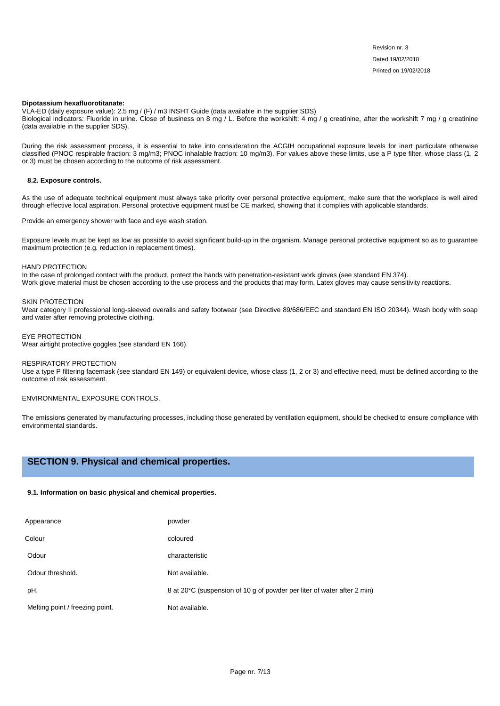### **Dipotassium hexafluorotitanate:**

VLA-ED (daily exposure value): 2.5 mg / (F) / m3 INSHT Guide (data available in the supplier SDS) Biological indicators: Fluoride in urine. Close of business on 8 mg / L. Before the workshift: 4 mg / g creatinine, after the workshift 7 mg / g creatinine (data available in the supplier SDS).

During the risk assessment process, it is essential to take into consideration the ACGIH occupational exposure levels for inert particulate otherwise classified (PNOC respirable fraction: 3 mg/m3; PNOC inhalable fraction: 10 mg/m3). For values above these limits, use a P type filter, whose class (1, 2 or 3) must be chosen according to the outcome of risk assessment.

### **8.2. Exposure controls.**

As the use of adequate technical equipment must always take priority over personal protective equipment, make sure that the workplace is well aired through effective local aspiration. Personal protective equipment must be CE marked, showing that it complies with applicable standards.

Provide an emergency shower with face and eye wash station.

Exposure levels must be kept as low as possible to avoid significant build-up in the organism. Manage personal protective equipment so as to guarantee maximum protection (e.g. reduction in replacement times).

#### HAND PROTECTION

In the case of prolonged contact with the product, protect the hands with penetration-resistant work gloves (see standard EN 374). Work glove material must be chosen according to the use process and the products that may form. Latex gloves may cause sensitivity reactions.

#### SKIN PROTECTION

Wear category II professional long-sleeved overalls and safety footwear (see Directive 89/686/EEC and standard EN ISO 20344). Wash body with soap and water after removing protective clothing.

### EYE PROTECTION

Wear airtight protective goggles (see standard EN 166).

### RESPIRATORY PROTECTION

Use a type P filtering facemask (see standard EN 149) or equivalent device, whose class (1, 2 or 3) and effective need, must be defined according to the outcome of risk assessment.

ENVIRONMENTAL EXPOSURE CONTROLS.

The emissions generated by manufacturing processes, including those generated by ventilation equipment, should be checked to ensure compliance with environmental standards.

# **SECTION 9. Physical and chemical properties.**

## **9.1. Information on basic physical and chemical properties.**

| Appearance                      | powder                                                                  |
|---------------------------------|-------------------------------------------------------------------------|
| Colour                          | coloured                                                                |
| Odour                           | characteristic                                                          |
| Odour threshold.                | Not available.                                                          |
| pH.                             | 8 at 20°C (suspension of 10 g of powder per liter of water after 2 min) |
| Melting point / freezing point. | Not available.                                                          |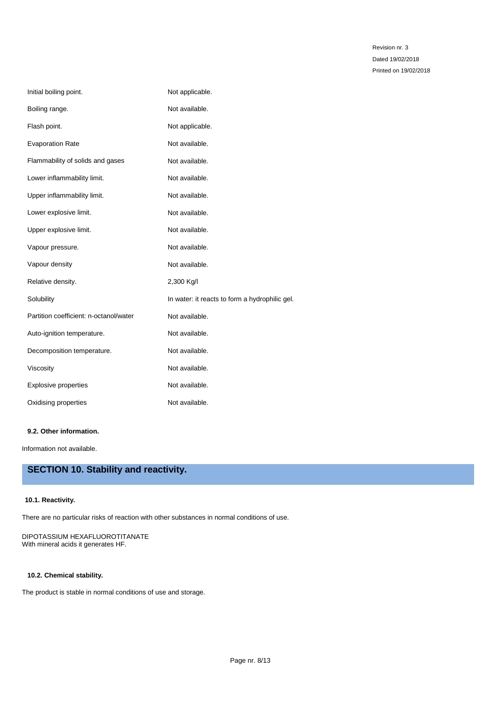| Initial boiling point.                 | Not applicable.                                |
|----------------------------------------|------------------------------------------------|
| Boiling range.                         | Not available.                                 |
| Flash point.                           | Not applicable.                                |
| <b>Evaporation Rate</b>                | Not available.                                 |
| Flammability of solids and gases       | Not available.                                 |
| Lower inflammability limit.            | Not available.                                 |
| Upper inflammability limit.            | Not available.                                 |
| Lower explosive limit.                 | Not available.                                 |
| Upper explosive limit.                 | Not available.                                 |
| Vapour pressure.                       | Not available.                                 |
| Vapour density                         | Not available.                                 |
| Relative density.                      | 2,300 Kg/I                                     |
| Solubility                             | In water: it reacts to form a hydrophilic gel. |
| Partition coefficient: n-octanol/water | Not available.                                 |
| Auto-ignition temperature.             | Not available.                                 |
| Decomposition temperature.             | Not available.                                 |
| Viscosity                              | Not available.                                 |
| <b>Explosive properties</b>            | Not available.                                 |
| Oxidising properties                   | Not available.                                 |

## **9.2. Other information.**

Information not available.

# **SECTION 10. Stability and reactivity.**

# **10.1. Reactivity.**

There are no particular risks of reaction with other substances in normal conditions of use.

# DIPOTASSIUM HEXAFLUOROTITANATE With mineral acids it generates HF.

# **10.2. Chemical stability.**

The product is stable in normal conditions of use and storage.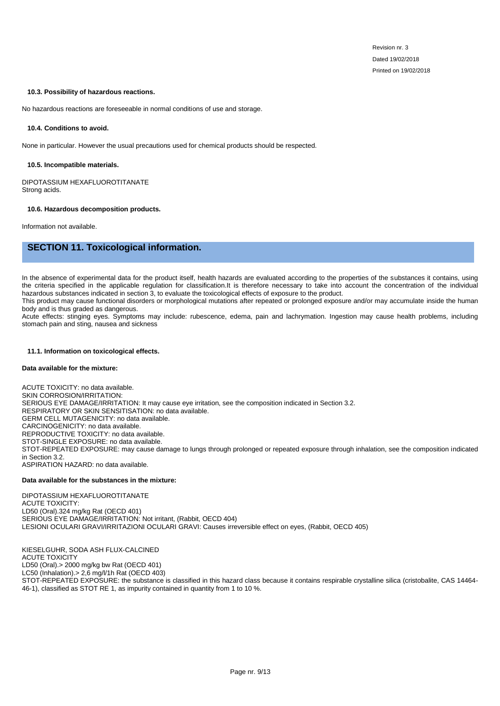### **10.3. Possibility of hazardous reactions.**

No hazardous reactions are foreseeable in normal conditions of use and storage.

### **10.4. Conditions to avoid.**

None in particular. However the usual precautions used for chemical products should be respected.

### **10.5. Incompatible materials.**

DIPOTASSIUM HEXAFLUOROTITANATE Strong acids.

### **10.6. Hazardous decomposition products.**

Information not available.

# **SECTION 11. Toxicological information.**

In the absence of experimental data for the product itself, health hazards are evaluated according to the properties of the substances it contains, using the criteria specified in the applicable regulation for classification.It is therefore necessary to take into account the concentration of the individual hazardous substances indicated in section 3, to evaluate the toxicological effects of exposure to the product.

This product may cause functional disorders or morphological mutations after repeated or prolonged exposure and/or may accumulate inside the human body and is thus graded as dangerous.

Acute effects: stinging eyes. Symptoms may include: rubescence, edema, pain and lachrymation. Ingestion may cause health problems, including stomach pain and sting, nausea and sickness

### **11.1. Information on toxicological effects.**

### **Data available for the mixture:**

ACUTE TOXICITY: no data available. SKIN CORROSION/IRRITATION: SERIOUS EYE DAMAGE/IRRITATION: It may cause eye irritation, see the composition indicated in Section 3.2. RESPIRATORY OR SKIN SENSITISATION: no data available. GERM CELL MUTAGENICITY: no data available. CARCINOGENICITY: no data available. REPRODUCTIVE TOXICITY: no data available. STOT-SINGLE EXPOSURE: no data available. STOT-REPEATED EXPOSURE: may cause damage to lungs through prolonged or repeated exposure through inhalation, see the composition indicated in Section 3.2. ASPIRATION HAZARD: no data available.

## **Data available for the substances in the mixture:**

DIPOTASSIUM HEXAFLUOROTITANATE ACUTE TOXICITY: LD50 (Oral).324 mg/kg Rat (OECD 401) SERIOUS EYE DAMAGE/IRRITATION: Not irritant, (Rabbit, OECD 404) LESIONI OCULARI GRAVI/IRRITAZIONI OCULARI GRAVI: Causes irreversible effect on eyes, (Rabbit, OECD 405)

KIESELGUHR, SODA ASH FLUX-CALCINED ACUTE TOXICITY LD50 (Oral).> 2000 mg/kg bw Rat (OECD 401) LC50 (Inhalation).> 2,6 mg/l/1h Rat (OECD 403) STOT-REPEATED EXPOSURE: the substance is classified in this hazard class because it contains respirable crystalline silica (cristobalite, CAS 14464- 46-1), classified as STOT RE 1, as impurity contained in quantity from 1 to 10 %.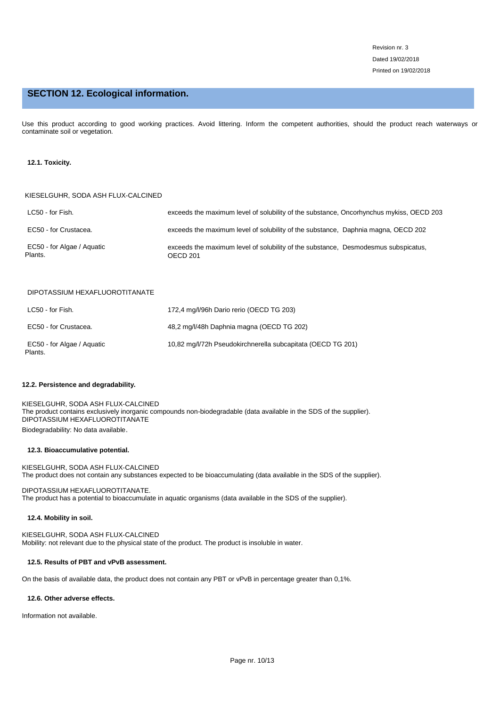# **SECTION 12. Ecological information.**

Use this product according to good working practices. Avoid littering. Inform the competent authorities, should the product reach waterways or contaminate soil or vegetation.

## **12.1. Toxicity.**

### KIESELGUHR, SODA ASH FLUX-CALCINED

| LC50 - for Fish.                      | exceeds the maximum level of solubility of the substance, Oncorhynchus mykiss, OECD 203        |  |
|---------------------------------------|------------------------------------------------------------------------------------------------|--|
| EC50 - for Crustacea.                 | exceeds the maximum level of solubility of the substance, Daphnia magna, OECD 202              |  |
| EC50 - for Algae / Aguatic<br>Plants. | exceeds the maximum level of solubility of the substance. Desmodesmus subspicatus,<br>OECD 201 |  |

# DIPOTASSIUM HEXAFLUOROTITANATE

| LC50 - for Fish.                      | 172,4 mg/l/96h Dario rerio (OECD TG 203)                    |
|---------------------------------------|-------------------------------------------------------------|
| EC50 - for Crustacea.                 | 48.2 mg/l/48h Daphnia magna (OECD TG 202)                   |
| EC50 - for Algae / Aguatic<br>Plants. | 10,82 mg/l/72h Pseudokirchnerella subcapitata (OECD TG 201) |

### **12.2. Persistence and degradability.**

KIESELGUHR, SODA ASH FLUX-CALCINED The product contains exclusively inorganic compounds non-biodegradable (data available in the SDS of the supplier). DIPOTASSIUM HEXAFLUOROTITANATE Biodegradability: No data available.

### **12.3. Bioaccumulative potential.**

KIESELGUHR, SODA ASH FLUX-CALCINED The product does not contain any substances expected to be bioaccumulating (data available in the SDS of the supplier).

DIPOTASSIUM HEXAFLUOROTITANATE. The product has a potential to bioaccumulate in aquatic organisms (data available in the SDS of the supplier).

### **12.4. Mobility in soil.**

KIESELGUHR, SODA ASH FLUX-CALCINED Mobility: not relevant due to the physical state of the product. The product is insoluble in water.

## **12.5. Results of PBT and vPvB assessment.**

On the basis of available data, the product does not contain any PBT or vPvB in percentage greater than 0,1%.

### **12.6. Other adverse effects.**

Information not available.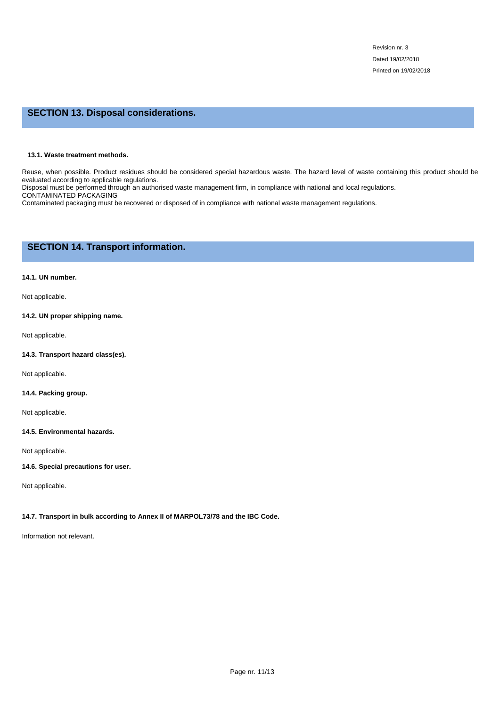# **SECTION 13. Disposal considerations.**

## **13.1. Waste treatment methods.**

Reuse, when possible. Product residues should be considered special hazardous waste. The hazard level of waste containing this product should be evaluated according to applicable regulations.

Disposal must be performed through an authorised waste management firm, in compliance with national and local regulations. CONTAMINATED PACKAGING

Contaminated packaging must be recovered or disposed of in compliance with national waste management regulations.

# **SECTION 14. Transport information.**

## **14.1. UN number.**

Not applicable.

# **14.2. UN proper shipping name.**

Not applicable.

## **14.3. Transport hazard class(es).**

Not applicable.

## **14.4. Packing group.**

Not applicable.

## **14.5. Environmental hazards.**

Not applicable.

# **14.6. Special precautions for user.**

Not applicable.

# **14.7. Transport in bulk according to Annex II of MARPOL73/78 and the IBC Code.**

Information not relevant.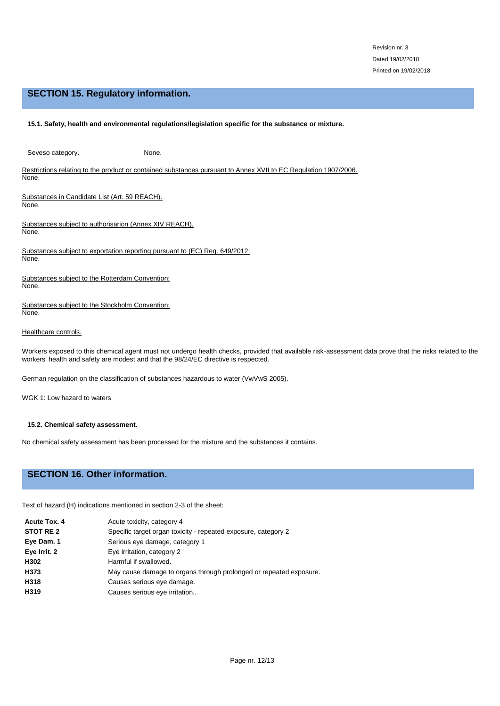# **SECTION 15. Regulatory information.**

## **15.1. Safety, health and environmental regulations/legislation specific for the substance or mixture.**

Seveso category. None.

Restrictions relating to the product or contained substances pursuant to Annex XVII to EC Regulation 1907/2006. None.

Substances in Candidate List (Art. 59 REACH). None.

Substances subject to authorisarion (Annex XIV REACH). None.

Substances subject to exportation reporting pursuant to (EC) Reg. 649/2012: None.

Substances subject to the Rotterdam Convention: None.

Substances subject to the Stockholm Convention: None.

## Healthcare controls.

Workers exposed to this chemical agent must not undergo health checks, provided that available risk-assessment data prove that the risks related to the workers' health and safety are modest and that the 98/24/EC directive is respected.

German regulation on the classification of substances hazardous to water (VwVwS 2005).

WGK 1: Low hazard to waters

## **15.2. Chemical safety assessment.**

No chemical safety assessment has been processed for the mixture and the substances it contains.

# **SECTION 16. Other information.**

Text of hazard (H) indications mentioned in section 2-3 of the sheet:

| Acute Tox, 4 | Acute toxicity, category 4                                         |
|--------------|--------------------------------------------------------------------|
| STOT RE 2    | Specific target organ toxicity - repeated exposure, category 2     |
| Eye Dam. 1   | Serious eye damage, category 1                                     |
| Eye Irrit. 2 | Eye irritation, category 2                                         |
| H302         | Harmful if swallowed.                                              |
| H373         | May cause damage to organs through prolonged or repeated exposure. |
| H318         | Causes serious eye damage.                                         |
| H319         | Causes serious eye irritation                                      |